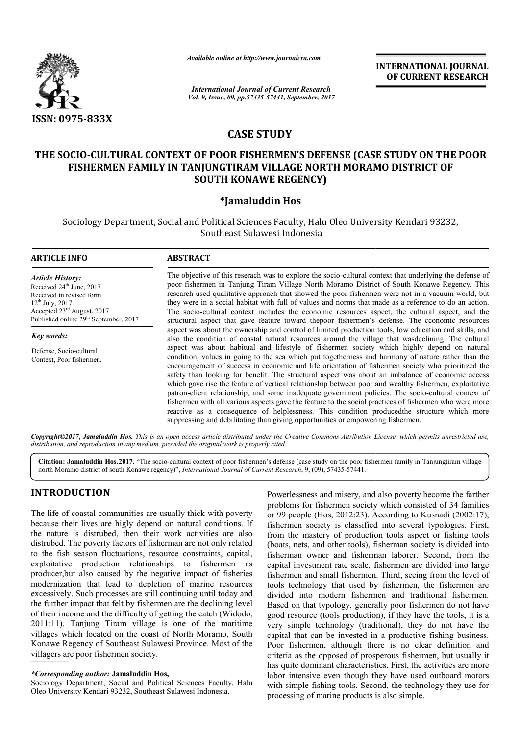

*Available online at http://www.journal http://www.journalcra.com*

*Vol. 9, Issue, 09, pp.57435-57441, September, 2017 International Journal of Current Research*

**INTERNATIONAL JOURNAL OF CURRENT RESEARCH** 

# **CASE STUDY**

# THE SOCIO-CULTURAL CONTEXT OF POOR FISHERMEN'S DEFENSE (CASE STUDY ON THE POOR **FISHERMEN FAMILY IN TANJUNGTIRAM VILLAGE NORTH MORAMO DISTRICT OF OF SOUTH KONAWE REGENCY)**

# **\*Jamaluddin Hos**

Sociology Department, Social and Political Sciences Faculty, Halu Oleo University Kendari 93232, Southeast Sulawesi Indonesia

| <b>ARTICLE INFO</b>                                                                                                                                                                                                | <b>ABSTRACT</b>                                                                                                                                                                                                                                                                                                                                                                                                                                                                                                                                                                                                                                                                                                                                                                                                                                                                                                                                                                                                                                                                                                                                                                                                                                                                                                                                                                                                                                                                                                                                                                                                                                                                                                                                                    |
|--------------------------------------------------------------------------------------------------------------------------------------------------------------------------------------------------------------------|--------------------------------------------------------------------------------------------------------------------------------------------------------------------------------------------------------------------------------------------------------------------------------------------------------------------------------------------------------------------------------------------------------------------------------------------------------------------------------------------------------------------------------------------------------------------------------------------------------------------------------------------------------------------------------------------------------------------------------------------------------------------------------------------------------------------------------------------------------------------------------------------------------------------------------------------------------------------------------------------------------------------------------------------------------------------------------------------------------------------------------------------------------------------------------------------------------------------------------------------------------------------------------------------------------------------------------------------------------------------------------------------------------------------------------------------------------------------------------------------------------------------------------------------------------------------------------------------------------------------------------------------------------------------------------------------------------------------------------------------------------------------|
| <b>Article History:</b><br>Received 24 <sup>th</sup> June, 2017<br>Received in revised form<br>$12^{th}$ July, 2017<br>Accepted 23 <sup>rd</sup> August, 2017<br>Published online 29 <sup>th</sup> September, 2017 | The objective of this reserach was to explore the socio-cultural context that underlying the defense of<br>poor fishermen in Tanjung Tiram Village North Moramo District of South Konawe Regency. This<br>research used qualitative approach that showed the poor fishermen were not in a vacuum world, but<br>they were in a social habitat with full of values and norms that made as a reference to do an action.<br>The socio-cultural context includes the economic resources aspect, the cultural aspect, and the<br>structural aspect that gave feature toward thepoor fishermen's defense. The cconomic resources<br>aspect was about the ownership and control of limited production tools, low education and skills, and<br>also the condition of coastal natural resources around the village that wasdeclining. The cultural<br>aspect was about habitual and lifestyle of fishermen society which highly depend on natural<br>condition, values in going to the sea which put togetherness and harmony of nature rather than the<br>encouragement of success in economic and life orientation of fishermen society who prioritized the<br>safety than looking for benefit. The structural aspect was about an imbalance of economic access<br>which gave rise the feature of vertical relationship between poor and wealthy fishermen, exploitative<br>patron-client relationship, and some inadequate government policies. The socio-cultural context of<br>fishermen with all various aspects gave the feature to the social practices of fishermen who were more<br>reactive as a consequence of helplessness. This condition produced the structure which more<br>suppressing and debilitating than giving opportunities or empowering fishermen. |
| Key words:                                                                                                                                                                                                         |                                                                                                                                                                                                                                                                                                                                                                                                                                                                                                                                                                                                                                                                                                                                                                                                                                                                                                                                                                                                                                                                                                                                                                                                                                                                                                                                                                                                                                                                                                                                                                                                                                                                                                                                                                    |
| Defense, Socio-cultural<br>Context, Poor fishermen.                                                                                                                                                                |                                                                                                                                                                                                                                                                                                                                                                                                                                                                                                                                                                                                                                                                                                                                                                                                                                                                                                                                                                                                                                                                                                                                                                                                                                                                                                                                                                                                                                                                                                                                                                                                                                                                                                                                                                    |

*Copyright©2017***,** *Jamaluddin Hos. This is an open access article distributed under the Creative Commons Att Attribution License, which ribution permits unrestricted use, distribution, and reproduction in any medium, provided the original work is properly cited.*

Citation: Jamaluddin Hos.2017. "The socio-cultural context of poor fishermen's defense (case study on the poor fishermen family in Tanjungtiram village Citation: Jamaluddin Hos.2017. "The socio-cultural context of poor fishermen's defense (case study on the poor i<br>north Moramo district of south Konawe regency)", *International Journal of Current Research*, 9, (09), 57435-

# **INTRODUCTION**

The life of coastal communities are usually thick with poverty because their lives are higly depend on natural conditions. If the nature is distrubed, then their work activities are also distrubed. The poverty factors of fisherman are not only related to the fish season fluctuations, resource constraints, capital, exploitative production relationships to fishermen as producer,but also caused by the negative impact of fisheries modernization that lead to depletion of marine resources excessively. Such processes are still continuing until today and the further impact that felt by fishermen are the declining level of their income and the difficulty of getting the catch (Widodo, 2011:11). Tanjung Tiram village is one of the maritime villages which located on the coast of North Moramo, South Konawe Regency of Southeast Sulawesi Province. Most of the villagers are poor fishermen society. he fish season fluctuations, resource constraints, constraints and the set in the set of the metal of the metal ducer, but also caused by the negative impact of fisherm ducer, but also caused by the negative impact of fish

*\*Corresponding author:* **Jamaluddin Hos,**

Sociology Department, Social and Political Sciences Faculty, Halu Oleo University Kendari 93232, Southeast Sulawesi Indonesia

Powerlessness and misery, and also poverty become the farther problems for fishermen society which consisted of 34 families or 99 people (Hos, 2012:23). According to Kusnadi (2002:17), fishermen society is classified into several typologies. First, from the mastery of production tools aspect or fishing tools (boats, nets, and other tools), fisherman society is divided into fisherman owner and fisherman laborer. Second, from the capital investment rate scale, fishermen are divided into large fishermen and small fishermen. Third, seeing from the level of tools technology that used by fishermen, the fishermen are divided into modern fishermen and traditional fishermen. fishermen and small fishermen. Third, seeing from the level of tools technology that used by fishermen, the fishermen are divided into modern fishermen and traditional fishermen. Based on that typology, generally poor fish good resource (tools production), if they have the tools, it is a very simple technology (traditional), they do not have the capital that can be invested in a productive fishing business. Poor fishermen, although there is no clear definition and criteria as the opposed of prosperous fishermen, but usually it has quite dominant characteristics. First, the activities are more labor intensive even though they have used outboard motors with simple fishing tools. Second, the technology they use for processing of marine products is also simple. Powerlessness and misery, and also poverty become the farther<br>problems for fishermen society which consisted of 34 families<br>or 99 people (Hos, 2012:23). According to Kusnadi (2002:17),<br>fishermen society is classified into good resource (tools production), if they have the tools, it is a<br>very simple technology (traditional), they do not have the<br>capital that can be invested in a productive fishing business.<br>Poor fishermen, although there is eria as the opposed of prosperous fishermen, but usually it quite dominant characteristics. First, the activities are more or intensive even though they have used outboard motors is simple fishing tools. Second, the techno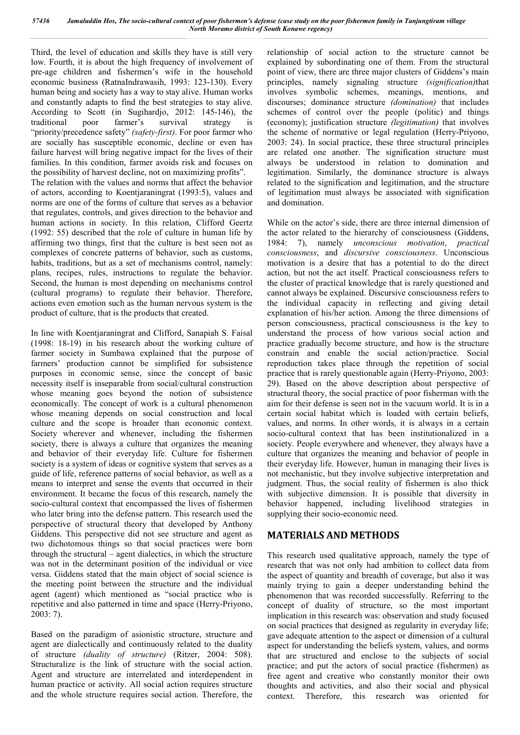Third, the level of education and skills they have is still very low. Fourth, it is about the high frequency of involvement of pre-age children and fishermen's wife in the household economic business (RatnaIndrawasih, 1993: 123-130). Every human being and society has a way to stay alive. Human works and constantly adapts to find the best strategies to stay alive. According to Scott (in Sugihardjo, 2012: 145-146), the traditional poor farmer's survival strategy is "priority/precedence safety" *(safety-first)*. For poor farmer who are socially has susceptible economic, decline or even has failure harvest will bring negative impact for the lives of their families. In this condition, farmer avoids risk and focuses on the possibility of harvest decline, not on maximizing profits". The relation with the values and norms that affect the behavior of actors, according to Koentjaraningrat (1993:5), values and norms are one of the forms of culture that serves as a behavior

that regulates, controls, and gives direction to the behavior and human actions in society. In this relation, Clifford Geertz (1992: 55) described that the role of culture in human life by affirming two things, first that the culture is best seen not as complexes of concrete patterns of behavior, such as customs, habits, traditions, but as a set of mechanisms control, namely: plans, recipes, rules, instructions to regulate the behavior. Second, the human is most depending on mechanisms control (cultural programs) to regulate their behavior. Therefore, actions even emotion such as the human nervous system is the product of culture, that is the products that created.

In line with Koentiaraningrat and Clifford, Sanapiah S. Faisal (1998: 18-19) in his research about the working culture of farmer society in Sumbawa explained that the purpose of farmers' production cannot be simplified for subsistence purposes in economic sense, since the concept of basic necessity itself is inseparable from social/cultural construction whose meaning goes beyond the notion of subsistence economically. The concept of work is a cultural phenomenon whose meaning depends on social construction and local culture and the scope is broader than economic context. Society wherever and whenever, including the fishermen society, there is always a culture that organizes the meaning and behavior of their everyday life. Culture for fishermen society is a system of ideas or cognitive system that serves as a guide of life, reference patterns of social behavior, as well as a means to interpret and sense the events that occurred in their environment. It became the focus of this research, namely the socio-cultural context that encompassed the lives of fishermen who later bring into the defense pattern. This research used the perspective of structural theory that developed by Anthony Giddens. This perspective did not see structure and agent as two dichotomous things so that social practices were born through the structural – agent dialectics, in which the structure was not in the determinant position of the individual or vice versa. Giddens stated that the main object of social science is the meeting point between the structure and the individual agent (agent) which mentioned as "social practice who is repetitive and also patterned in time and space (Herry-Priyono, 2003: 7).

Based on the paradigm of asionistic structure, structure and agent are dialectically and continuously related to the duality of structure *(duality of structure)* (Ritzer, 2004: 508). Structuralize is the link of structure with the social action. Agent and structure are interrelated and interdependent in human practice or activity. All social action requires structure and the whole structure requires social action. Therefore, the

relationship of social action to the structure cannot be explained by subordinating one of them. From the structural point of view, there are three major clusters of Giddens's main principles, namely signaling structure *(signification)*that involves symbolic schemes, meanings, mentions, and discourses; dominance structure *(domination)* that includes schemes of control over the people (politic) and things (economy); justification structure *(legitimation)* that involves the scheme of normative or legal regulation (Herry-Priyono, 2003: 24). In social practice, these three structural principles are related one another. The signification structure must always be understood in relation to domination and legitimation. Similarly, the dominance structure is always related to the signification and legitimation, and the structure of legitimation must always be associated with signification and domination.

While on the actor's side, there are three internal dimension of the actor related to the hierarchy of consciousness (Giddens, 1984: 7), namely *unconscious motivation*, *practical consciousness*, and *discursive consciousness*. Unconscious motivation is a desire that has a potential to do the direct action, but not the act itself. Practical consciousness refers to the cluster of practical knowledge that is rarely questioned and cannot always be explained. Discursive consciousness refers to the individual capacity in reflecting and giving detail explanation of his/her action. Among the three dimensions of person consciousness, practical consciousness is the key to understand the process of how various social action and practice gradually become structure, and how is the structure constrain and enable the social action/practice. Social reproduction takes place through the repetition of social practice that is rarely questionable again (Herry-Priyono, 2003: 29). Based on the above description about perspective of structural theory, the social practice of poor fisherman with the aim for their defense is seen not in the vacuum world. It is in a certain social habitat which is loaded with certain beliefs, values, and norms. In other words, it is always in a certain socio-cultural context that has been institutionalized in a society. People everywhere and whenever, they always have a culture that organizes the meaning and behavior of people in their everyday life. However, human in managing their lives is not mechanistic, but they involve subjective interpretation and judgment. Thus, the social reality of fishermen is also thick with subjective dimension. It is possible that diversity in behavior happened, including livelihood strategies in supplying their socio-economic need.

# **MATERIALS AND METHODS**

This research used qualitative approach, namely the type of research that was not only had ambition to collect data from the aspect of quantity and breadth of coverage, but also it was mainly trying to gain a deeper understanding behind the phenomenon that was recorded successfully. Referring to the concept of duality of structure, so the most important implication in this research was: observation and study focused on social practices that designed as regularity in everyday life; gave adequate attention to the aspect or dimension of a cultural aspect for understanding the beliefs system, values, and norms that are structured and enclose to the subjects of social practice; and put the actors of social practice (fishermen) as free agent and creative who constantly monitor their own thoughts and activities, and also their social and physical context. Therefore, this research was oriented for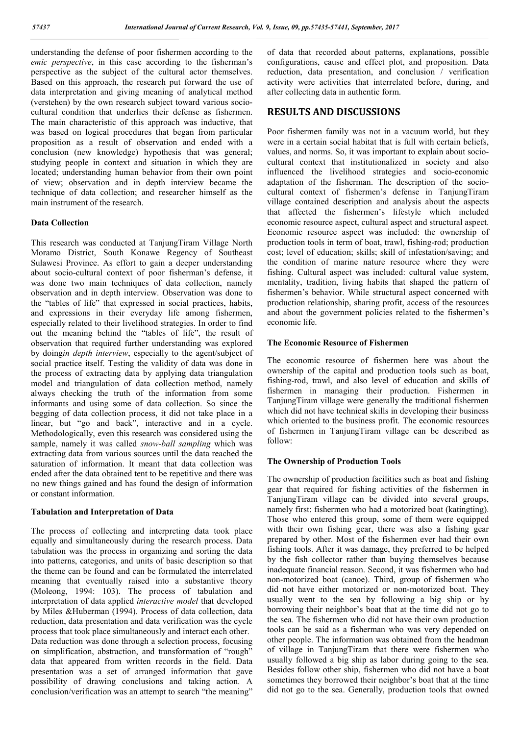understanding the defense of poor fishermen according to the *emic perspective*, in this case according to the fisherman's perspective as the subject of the cultural actor themselves. Based on this approach, the research put forward the use of data interpretation and giving meaning of analytical method (verstehen) by the own research subject toward various sociocultural condition that underlies their defense as fishermen. The main characteristic of this approach was inductive, that was based on logical procedures that began from particular proposition as a result of observation and ended with a conclusion (new knowledge) hypothesis that was general; studying people in context and situation in which they are located; understanding human behavior from their own point of view; observation and in depth interview became the technique of data collection; and researcher himself as the main instrument of the research.

### **Data Collection**

This research was conducted at TanjungTiram Village North Moramo District, South Konawe Regency of Southeast Sulawesi Province. As effort to gain a deeper understanding about socio-cultural context of poor fisherman's defense, it was done two main techniques of data collection, namely observation and in depth interview. Observation was done to the "tables of life" that expressed in social practices, habits, and expressions in their everyday life among fishermen, especially related to their livelihood strategies. In order to find out the meaning behind the "tables of life", the result of observation that required further understanding was explored by doing*in depth interview*, especially to the agent/subject of social practice itself. Testing the validity of data was done in the process of extracting data by applying data triangulation model and triangulation of data collection method, namely always checking the truth of the information from some informants and using some of data collection. So since the begging of data collection process, it did not take place in a linear, but "go and back", interactive and in a cycle. Methodologically, even this research was considered using the sample, namely it was called *snow-ball sampling* which was extracting data from various sources until the data reached the saturation of information. It meant that data collection was ended after the data obtained tent to be repetitive and there was no new things gained and has found the design of information or constant information.

### **Tabulation and Interpretation of Data**

The process of collecting and interpreting data took place equally and simultaneously during the research process. Data tabulation was the process in organizing and sorting the data into patterns, categories, and units of basic description so that the theme can be found and can be formulated the interrelated meaning that eventually raised into a substantive theory (Moleong, 1994: 103). The process of tabulation and interpretation of data applied *interactive model* that developed by Miles &Huberman (1994). Process of data collection, data reduction, data presentation and data verification was the cycle process that took place simultaneously and interact each other. Data reduction was done through a selection process, focusing on simplification, abstraction, and transformation of "rough" data that appeared from written records in the field. Data presentation was a set of arranged information that gave possibility of drawing conclusions and taking action. A conclusion/verification was an attempt to search "the meaning"

of data that recorded about patterns, explanations, possible configurations, cause and effect plot, and proposition. Data reduction, data presentation, and conclusion / verification activity were activities that interrelated before, during, and after collecting data in authentic form.

# **RESULTS AND DISCUSSIONS**

Poor fishermen family was not in a vacuum world, but they were in a certain social habitat that is full with certain beliefs, values, and norms. So, it was important to explain about sociocultural context that institutionalized in society and also influenced the livelihood strategies and socio-economic adaptation of the fisherman. The description of the sociocultural context of fishermen's defense in TanjungTiram village contained description and analysis about the aspects that affected the fishermen's lifestyle which included economic resource aspect, cultural aspect and structural aspect. Economic resource aspect was included: the ownership of production tools in term of boat, trawl, fishing-rod; production cost; level of education; skills; skill of infestation/saving; and the condition of marine nature resource where they were fishing. Cultural aspect was included: cultural value system, mentality, tradition, living habits that shaped the pattern of fishermen's behavior. While structural aspect concerned with production relationship, sharing profit, access of the resources and about the government policies related to the fishermen's economic life.

### **The Economic Resource of Fishermen**

The economic resource of fishermen here was about the ownership of the capital and production tools such as boat, fishing-rod, trawl, and also level of education and skills of fishermen in managing their production. Fishermen in TanjungTiram village were generally the traditional fishermen which did not have technical skills in developing their business which oriented to the business profit. The economic resources of fishermen in TanjungTiram village can be described as follow:

### **The Ownership of Production Tools**

The ownership of production facilities such as boat and fishing gear that required for fishing activities of the fishermen in TanjungTiram village can be divided into several groups, namely first: fishermen who had a motorized boat (katingting). Those who entered this group, some of them were equipped with their own fishing gear, there was also a fishing gear prepared by other. Most of the fishermen ever had their own fishing tools. After it was damage, they preferred to be helped by the fish collector rather than buying themselves because inadequate financial reason. Second, it was fishermen who had non-motorized boat (canoe). Third, group of fishermen who did not have either motorized or non-motorized boat. They usually went to the sea by following a big ship or by borrowing their neighbor's boat that at the time did not go to the sea. The fishermen who did not have their own production tools can be said as a fisherman who was very depended on other people. The information was obtained from the headman of village in TanjungTiram that there were fishermen who usually followed a big ship as labor during going to the sea. Besides follow other ship, fishermen who did not have a boat sometimes they borrowed their neighbor's boat that at the time did not go to the sea. Generally, production tools that owned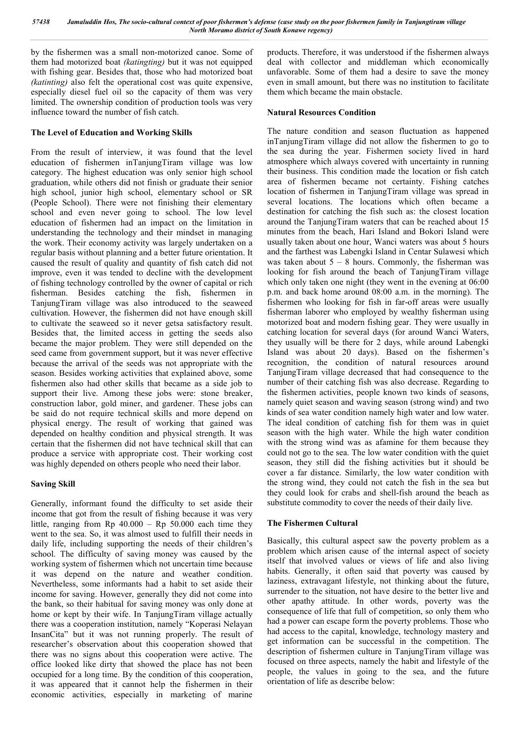by the fishermen was a small non-motorized canoe. Some of them had motorized boat *(katingting)* but it was not equipped with fishing gear. Besides that, those who had motorized boat *(katinting)* also felt the operational cost was quite expensive, especially diesel fuel oil so the capacity of them was very limited. The ownership condition of production tools was very influence toward the number of fish catch.

## **The Level of Education and Working Skills**

From the result of interview, it was found that the level education of fishermen inTanjungTiram village was low category. The highest education was only senior high school graduation, while others did not finish or graduate their senior high school, junior high school, elementary school or SR (People School). There were not finishing their elementary school and even never going to school. The low level education of fishermen had an impact on the limitation in understanding the technology and their mindset in managing the work. Their economy activity was largely undertaken on a regular basis without planning and a better future orientation. It caused the result of quality and quantity of fish catch did not improve, even it was tended to decline with the development of fishing technology controlled by the owner of capital or rich fisherman. Besides catching the fish, fishermen in TanjungTiram village was also introduced to the seaweed cultivation. However, the fishermen did not have enough skill to cultivate the seaweed so it never getsa satisfactory result. Besides that, the limited access in getting the seeds also became the major problem. They were still depended on the seed came from government support, but it was never effective because the arrival of the seeds was not appropriate with the season. Besides working activities that explained above, some fishermen also had other skills that became as a side job to support their live. Among these jobs were: stone breaker, construction labor, gold miner, and gardener. These jobs can be said do not require technical skills and more depend on physical energy. The result of working that gained was depended on healthy condition and physical strength. It was certain that the fishermen did not have technical skill that can produce a service with appropriate cost. Their working cost was highly depended on others people who need their labor.

### **Saving Skill**

Generally, informant found the difficulty to set aside their income that got from the result of fishing because it was very little, ranging from  $Rp$  40.000 –  $Rp$  50.000 each time they went to the sea. So, it was almost used to fulfill their needs in daily life, including supporting the needs of their children's school. The difficulty of saving money was caused by the working system of fishermen which not uncertain time because it was depend on the nature and weather condition. Nevertheless, some informants had a habit to set aside their income for saving. However, generally they did not come into the bank, so their habitual for saving money was only done at home or kept by their wife. In TanjungTiram village actually there was a cooperation institution, namely "Koperasi Nelayan InsanCita" but it was not running properly. The result of researcher's observation about this cooperation showed that there was no signs about this cooperation were active. The office looked like dirty that showed the place has not been occupied for a long time. By the condition of this cooperation, it was appeared that it cannot help the fishermen in their economic activities, especially in marketing of marine

products. Therefore, it was understood if the fishermen always deal with collector and middleman which economically unfavorable. Some of them had a desire to save the money even in small amount, but there was no institution to facilitate them which became the main obstacle.

### **Natural Resources Condition**

The nature condition and season fluctuation as happened inTanjungTiram village did not allow the fishermen to go to the sea during the year. Fishermen society lived in hard atmosphere which always covered with uncertainty in running their business. This condition made the location or fish catch area of fishermen became not certainty. Fishing catches location of fishermen in TanjungTiram village was spread in several locations. The locations which often became a destination for catching the fish such as: the closest location around the TanjungTiram waters that can be reached about 15 minutes from the beach, Hari Island and Bokori Island were usually taken about one hour, Wanci waters was about 5 hours and the farthest was Labengki Island in Centar Sulawesi which was taken about  $5 - 8$  hours. Commonly, the fisherman was looking for fish around the beach of TanjungTiram village which only taken one night (they went in the evening at  $06:00$ p.m. and back home around 08:00 a.m. in the morning). The fishermen who looking for fish in far-off areas were usually fisherman laborer who employed by wealthy fisherman using motorized boat and modern fishing gear. They were usually in catching location for several days (for around Wanci Waters, they usually will be there for 2 days, while around Labengki Island was about 20 days). Based on the fishermen's recognition, the condition of natural resources around TanjungTiram village decreased that had consequence to the number of their catching fish was also decrease. Regarding to the fishermen activities, people known two kinds of seasons, namely quiet season and waving season (strong wind) and two kinds of sea water condition namely high water and low water. The ideal condition of catching fish for them was in quiet season with the high water. While the high water condition with the strong wind was as afamine for them because they could not go to the sea. The low water condition with the quiet season, they still did the fishing activities but it should be cover a far distance. Similarly, the low water condition with the strong wind, they could not catch the fish in the sea but they could look for crabs and shell-fish around the beach as substitute commodity to cover the needs of their daily live.

# **The Fishermen Cultural**

Basically, this cultural aspect saw the poverty problem as a problem which arisen cause of the internal aspect of society itself that involved values or views of life and also living habits. Generally, it often said that poverty was caused by laziness, extravagant lifestyle, not thinking about the future, surrender to the situation, not have desire to the better live and other apathy attitude. In other words, poverty was the consequence of life that full of competition, so only them who had a power can escape form the poverty problems. Those who had access to the capital, knowledge, technology mastery and get information can be successful in the competition. The description of fishermen culture in TanjungTiram village was focused on three aspects, namely the habit and lifestyle of the people, the values in going to the sea, and the future orientation of life as describe below: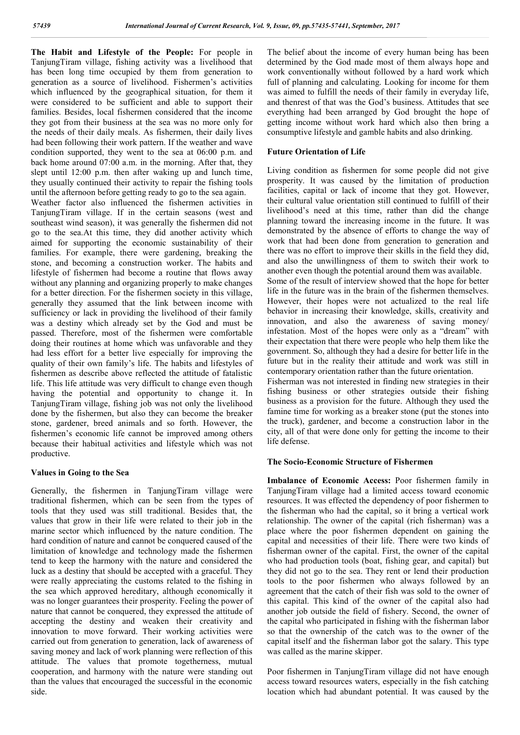**The Habit and Lifestyle of the People:** For people in TanjungTiram village, fishing activity was a livelihood that has been long time occupied by them from generation to generation as a source of livelihood. Fishermen's activities which influenced by the geographical situation, for them it were considered to be sufficient and able to support their families. Besides, local fishermen considered that the income they got from their business at the sea was no more only for the needs of their daily meals. As fishermen, their daily lives had been following their work pattern. If the weather and wave condition supported, they went to the sea at 06:00 p.m. and back home around 07:00 a.m. in the morning. After that, they slept until 12:00 p.m. then after waking up and lunch time, they usually continued their activity to repair the fishing tools until the afternoon before getting ready to go to the sea again.

Weather factor also influenced the fishermen activities in TanjungTiram village. If in the certain seasons (west and southeast wind season), it was generally the fishermen did not go to the sea.At this time, they did another activity which aimed for supporting the economic sustainability of their families. For example, there were gardening, breaking the stone, and becoming a construction worker. The habits and lifestyle of fishermen had become a routine that flows away without any planning and organizing properly to make changes for a better direction. For the fishermen society in this village, generally they assumed that the link between income with sufficiency or lack in providing the livelihood of their family was a destiny which already set by the God and must be passed. Therefore, most of the fishermen were comfortable doing their routines at home which was unfavorable and they had less effort for a better live especially for improving the quality of their own family's life. The habits and lifestyles of fishermen as describe above reflected the attitude of fatalistic life. This life attitude was very difficult to change even though having the potential and opportunity to change it. In TanjungTiram village, fishing job was not only the livelihood done by the fishermen, but also they can become the breaker stone, gardener, breed animals and so forth. However, the fishermen's economic life cannot be improved among others because their habitual activities and lifestyle which was not productive.

# **Values in Going to the Sea**

Generally, the fishermen in TanjungTiram village were traditional fishermen, which can be seen from the types of tools that they used was still traditional. Besides that, the values that grow in their life were related to their job in the marine sector which influenced by the nature condition. The hard condition of nature and cannot be conquered caused of the limitation of knowledge and technology made the fishermen tend to keep the harmony with the nature and considered the luck as a destiny that should be accepted with a graceful. They were really appreciating the customs related to the fishing in the sea which approved hereditary, although economically it was no longer guarantees their prosperity. Feeling the power of nature that cannot be conquered, they expressed the attitude of accepting the destiny and weaken their creativity and innovation to move forward. Their working activities were carried out from generation to generation, lack of awareness of saving money and lack of work planning were reflection of this attitude. The values that promote togetherness, mutual cooperation, and harmony with the nature were standing out than the values that encouraged the successful in the economic side.

The belief about the income of every human being has been determined by the God made most of them always hope and work conventionally without followed by a hard work which full of planning and calculating. Looking for income for them was aimed to fulfill the needs of their family in everyday life, and thenrest of that was the God's business. Attitudes that see everything had been arranged by God brought the hope of getting income without work hard which also then bring a consumptive lifestyle and gamble habits and also drinking.

## **Future Orientation of Life**

Living condition as fishermen for some people did not give prosperity. It was caused by the limitation of production facilities, capital or lack of income that they got. However, their cultural value orientation still continued to fulfill of their livelihood's need at this time, rather than did the change planning toward the increasing income in the future. It was demonstrated by the absence of efforts to change the way of work that had been done from generation to generation and there was no effort to improve their skills in the field they did, and also the unwillingness of them to switch their work to another even though the potential around them was available.

Some of the result of interview showed that the hope for better life in the future was in the brain of the fishermen themselves. However, their hopes were not actualized to the real life behavior in increasing their knowledge, skills, creativity and innovation, and also the awareness of saving money/ infestation. Most of the hopes were only as a "dream" with their expectation that there were people who help them like the government. So, although they had a desire for better life in the future but in the reality their attitude and work was still in contemporary orientation rather than the future orientation.

Fisherman was not interested in finding new strategies in their fishing business or other strategies outside their fishing business as a provision for the future. Although they used the famine time for working as a breaker stone (put the stones into the truck), gardener, and become a construction labor in the city, all of that were done only for getting the income to their life defense.

### **The Socio-Economic Structure of Fishermen**

**Imbalance of Economic Access:** Poor fishermen family in TanjungTiram village had a limited access toward economic resources. It was effected the dependency of poor fishermen to the fisherman who had the capital, so it bring a vertical work relationship. The owner of the capital (rich fisherman) was a place where the poor fishermen dependent on gaining the capital and necessities of their life. There were two kinds of fisherman owner of the capital. First, the owner of the capital who had production tools (boat, fishing gear, and capital) but they did not go to the sea. They rent or lend their production tools to the poor fishermen who always followed by an agreement that the catch of their fish was sold to the owner of this capital. This kind of the owner of the capital also had another job outside the field of fishery. Second, the owner of the capital who participated in fishing with the fisherman labor so that the ownership of the catch was to the owner of the capital itself and the fisherman labor got the salary. This type was called as the marine skipper.

Poor fishermen in TanjungTiram village did not have enough access toward resources waters, especially in the fish catching location which had abundant potential. It was caused by the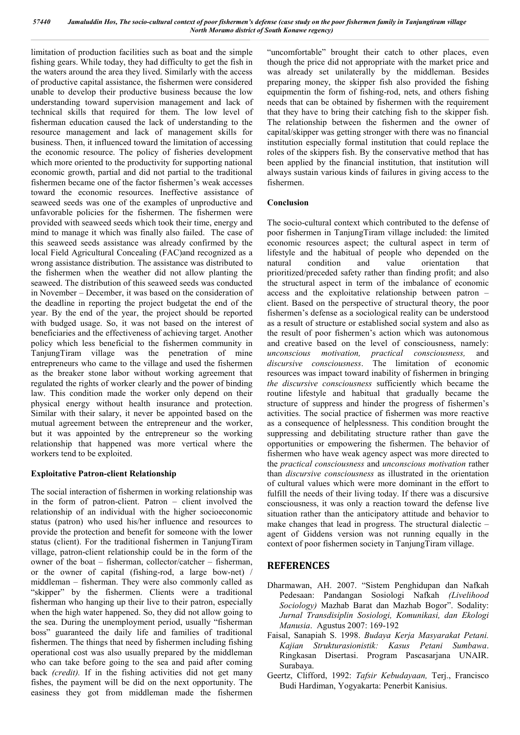limitation of production facilities such as boat and the simple fishing gears. While today, they had difficulty to get the fish in the waters around the area they lived. Similarly with the access of productive capital assistance, the fishermen were considered unable to develop their productive business because the low understanding toward supervision management and lack of technical skills that required for them. The low level of fisherman education caused the lack of understanding to the resource management and lack of management skills for business. Then, it influenced toward the limitation of accessing the economic resource. The policy of fisheries development which more oriented to the productivity for supporting national economic growth, partial and did not partial to the traditional fishermen became one of the factor fishermen's weak accesses toward the economic resources. Ineffective assistance of seaweed seeds was one of the examples of unproductive and unfavorable policies for the fishermen. The fishermen were provided with seaweed seeds which took their time, energy and mind to manage it which was finally also failed. The case of this seaweed seeds assistance was already confirmed by the local Field Agricultural Concealing (FAC)and recognized as a wrong assistance distribution. The assistance was distributed to the fishermen when the weather did not allow planting the seaweed. The distribution of this seaweed seeds was conducted in November – December, it was based on the consideration of the deadline in reporting the project budgetat the end of the year. By the end of the year, the project should be reported with budged usage. So, it was not based on the interest of beneficiaries and the effectiveness of achieving target. Another policy which less beneficial to the fishermen community in TanjungTiram village was the penetration of mine entrepreneurs who came to the village and used the fishermen as the breaker stone labor without working agreement that regulated the rights of worker clearly and the power of binding law. This condition made the worker only depend on their physical energy without health insurance and protection. Similar with their salary, it never be appointed based on the mutual agreement between the entrepreneur and the worker, but it was appointed by the entrepreneur so the working relationship that happened was more vertical where the workers tend to be exploited.

### **Exploitative Patron-client Relationship**

The social interaction of fishermen in working relationship was in the form of patron-client. Patron – client involved the relationship of an individual with the higher socioeconomic status (patron) who used his/her influence and resources to provide the protection and benefit for someone with the lower status (client). For the traditional fishermen in TanjungTiram village, patron-client relationship could be in the form of the owner of the boat – fisherman, collector/catcher – fisherman, or the owner of capital (fishing-rod, a large bow-net) / middleman – fisherman. They were also commonly called as "skipper" by the fishermen. Clients were a traditional fisherman who hanging up their live to their patron, especially when the high water happened. So, they did not allow going to the sea. During the unemployment period, usually "fisherman boss" guaranteed the daily life and families of traditional fishermen. The things that need by fishermen including fishing operational cost was also usually prepared by the middleman who can take before going to the sea and paid after coming back *(credit).* If in the fishing activities did not get many fishes, the payment will be did on the next opportunity. The easiness they got from middleman made the fishermen

"uncomfortable" brought their catch to other places, even though the price did not appropriate with the market price and was already set unilaterally by the middleman. Besides preparing money, the skipper fish also provided the fishing equipmentin the form of fishing-rod, nets, and others fishing needs that can be obtained by fishermen with the requirement that they have to bring their catching fish to the skipper fish. The relationship between the fishermen and the owner of capital/skipper was getting stronger with there was no financial institution especially formal institution that could replace the roles of the skippers fish. By the conservative method that has been applied by the financial institution, that institution will always sustain various kinds of failures in giving access to the fishermen.

## **Conclusion**

The socio-cultural context which contributed to the defense of poor fishermen in TanjungTiram village included: the limited economic resources aspect; the cultural aspect in term of lifestyle and the habitual of people who depended on the natural condition and value orientation that prioritized/preceded safety rather than finding profit; and also the structural aspect in term of the imbalance of economic access and the exploitative relationship between patron – client. Based on the perspective of structural theory, the poor fishermen's defense as a sociological reality can be understood as a result of structure or established social system and also as the result of poor fishermen's action which was autonomous and creative based on the level of consciousness, namely: *unconscious motivation, practical consciousness,* and *discursive consciousness*. The limitation of economic resources was impact toward inability of fishermen in bringing *the discursive consciousness* sufficiently which became the routine lifestyle and habitual that gradually became the structure of suppress and hinder the progress of fishermen's activities. The social practice of fishermen was more reactive as a consequence of helplessness. This condition brought the suppressing and debilitating structure rather than gave the opportunities or empowering the fishermen. The behavior of fishermen who have weak agency aspect was more directed to the *practical consciousness* and *unconscious motivation* rather than *discursive consciousness* as illustrated in the orientation of cultural values which were more dominant in the effort to fulfill the needs of their living today. If there was a discursive consciousness, it was only a reaction toward the defense live situation rather than the anticipatory attitude and behavior to make changes that lead in progress. The structural dialectic – agent of Giddens version was not running equally in the context of poor fishermen society in TanjungTiram village.

# **REFERENCES**

- Dharmawan, AH. 2007. "Sistem Penghidupan dan Nafkah Pedesaan: Pandangan Sosiologi Nafkah *(Livelihood Sociology)* Mazhab Barat dan Mazhab Bogor". Sodality: *Jurnal Transdisiplin Sosiologi, Komunikasi, dan Ekologi Manusia*. Agustus 2007: 169-192
- Faisal, Sanapiah S. 1998. *Budaya Kerja Masyarakat Petani. Kajian Strukturasionistik: Kasus Petani Sumbawa*. Ringkasan Disertasi. Program Pascasarjana UNAIR. Surabaya.
- Geertz, Clifford, 1992: *Tafsir Kebudayaan,* Terj., Francisco Budi Hardiman, Yogyakarta: Penerbit Kanisius.